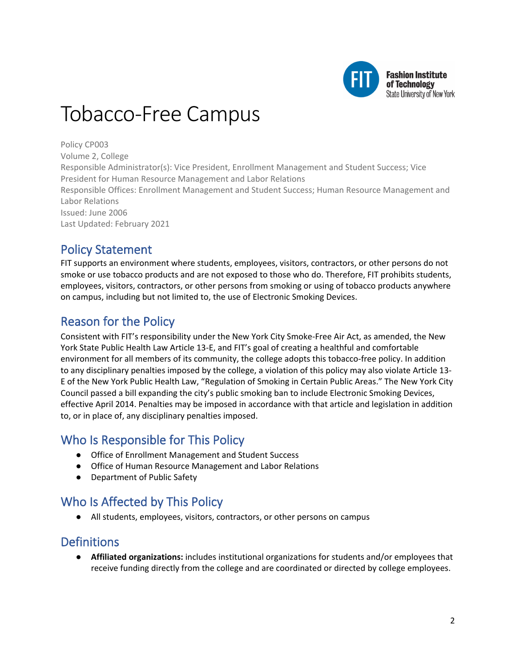

# Tobacco-Free Campus

Policy CP003

Volume 2, College

Responsible Administrator(s): Vice President, Enrollment Management and Student Success; Vice President for Human Resource Management and Labor Relations Responsible Offices: Enrollment Management and Student Success; Human Resource Management and

Labor Relations Issued: June 2006

Last Updated: February 2021

# Policy Statement

FIT supports an environment where students, employees, visitors, contractors, or other persons do not smoke or use tobacco products and are not exposed to those who do. Therefore, FIT prohibits students, employees, visitors, contractors, or other persons from smoking or using of tobacco products anywhere on campus, including but not limited to, the use of Electronic Smoking Devices.

# Reason for the Policy

Consistent with FIT's responsibility under the New York City Smoke-Free Air Act, as amended, the New York State Public Health Law Article 13-E, and FIT's goal of creating a healthful and comfortable environment for all members of its community, the college adopts this tobacco-free policy. In addition to any disciplinary penalties imposed by the college, a violation of this policy may also violate Article 13- E of the New York Public Health Law, "Regulation of Smoking in Certain Public Areas." The New York City Council passed a bill expanding the city's public smoking ban to include Electronic Smoking Devices, effective April 2014. Penalties may be imposed in accordance with that article and legislation in addition to, or in place of, any disciplinary penalties imposed.

# Who Is Responsible for This Policy

- Office of Enrollment Management and Student Success
- Office of Human Resource Management and Labor Relations
- Department of Public Safety

# Who Is Affected by This Policy

● All students, employees, visitors, contractors, or other persons on campus

### **Definitions**

● **Affiliated organizations:** includes institutional organizations for students and/or employees that receive funding directly from the college and are coordinated or directed by college employees.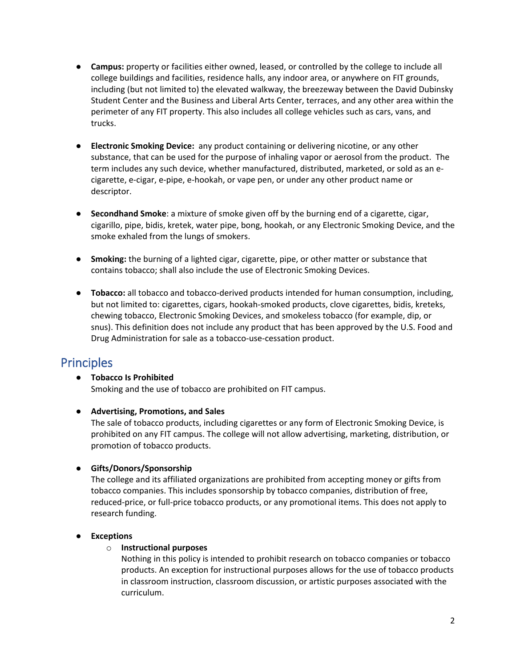- **Campus:** property or facilities either owned, leased, or controlled by the college to include all college buildings and facilities, residence halls, any indoor area, or anywhere on FIT grounds, including (but not limited to) the elevated walkway, the breezeway between the David Dubinsky Student Center and the Business and Liberal Arts Center, terraces, and any other area within the perimeter of any FIT property. This also includes all college vehicles such as cars, vans, and trucks.
- **Electronic Smoking Device:** any product containing or delivering nicotine, or any other substance, that can be used for the purpose of inhaling vapor or aerosol from the product. The term includes any such device, whether manufactured, distributed, marketed, or sold as an ecigarette, e-cigar, e-pipe, e-hookah, or vape pen, or under any other product name or descriptor.
- **Secondhand Smoke**: a mixture of smoke given off by the burning end of a cigarette, cigar, cigarillo, pipe, bidis, kretek, water pipe, bong, hookah, or any Electronic Smoking Device, and the smoke exhaled from the lungs of smokers.
- **Smoking:** the burning of a lighted cigar, cigarette, pipe, or other matter or substance that contains tobacco; shall also include the use of Electronic Smoking Devices.
- **Tobacco:** all tobacco and tobacco-derived products intended for human consumption, including, but not limited to: cigarettes, cigars, hookah-smoked products, clove cigarettes, bidis, kreteks, chewing tobacco, Electronic Smoking Devices, and smokeless tobacco (for example, dip, or snus). This definition does not include any product that has been approved by the U.S. Food and Drug Administration for sale as a tobacco-use-cessation product.

# Principles

● **Tobacco Is Prohibited** Smoking and the use of tobacco are prohibited on FIT campus.

### ● **Advertising, Promotions, and Sales**

The sale of tobacco products, including cigarettes or any form of Electronic Smoking Device, is prohibited on any FIT campus. The college will not allow advertising, marketing, distribution, or promotion of tobacco products.

### ● **Gifts/Donors/Sponsorship**

The college and its affiliated organizations are prohibited from accepting money or gifts from tobacco companies. This includes sponsorship by tobacco companies, distribution of free, reduced-price, or full-price tobacco products, or any promotional items. This does not apply to research funding.

### ● **Exceptions**

### o **Instructional purposes**

Nothing in this policy is intended to prohibit research on tobacco companies or tobacco products. An exception for instructional purposes allows for the use of tobacco products in classroom instruction, classroom discussion, or artistic purposes associated with the curriculum.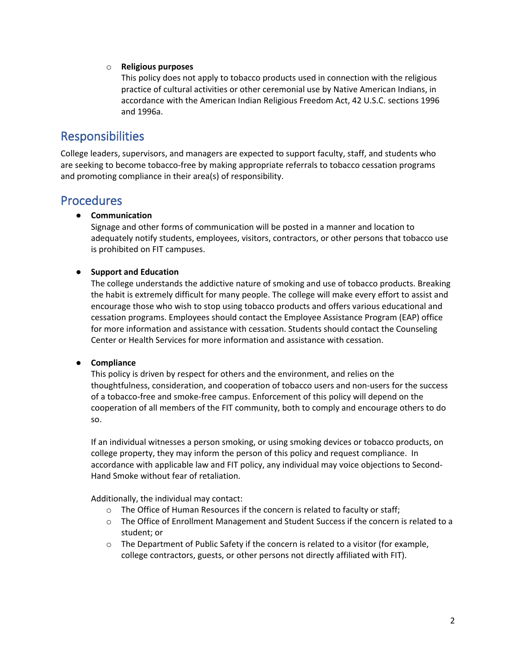#### o **Religious purposes**

This policy does not apply to tobacco products used in connection with the religious practice of cultural activities or other ceremonial use by Native American Indians, in accordance with the American Indian Religious Freedom Act, 42 U.S.C. sections 1996 and 1996a.

### Responsibilities

College leaders, supervisors, and managers are expected to support faculty, staff, and students who are seeking to become tobacco-free by making appropriate referrals to tobacco cessation programs and promoting compliance in their area(s) of responsibility.

### **Procedures**

#### ● **Communication**

Signage and other forms of communication will be posted in a manner and location to adequately notify students, employees, visitors, contractors, or other persons that tobacco use is prohibited on FIT campuses.

#### ● **Support and Education**

The college understands the addictive nature of smoking and use of tobacco products. Breaking the habit is extremely difficult for many people. The college will make every effort to assist and encourage those who wish to stop using tobacco products and offers various educational and cessation programs. Employees should contact the Employee Assistance Program (EAP) office for more information and assistance with cessation. Students should contact the Counseling Center or Health Services for more information and assistance with cessation.

#### ● **Compliance**

This policy is driven by respect for others and the environment, and relies on the thoughtfulness, consideration, and cooperation of tobacco users and non-users for the success of a tobacco-free and smoke-free campus. Enforcement of this policy will depend on the cooperation of all members of the FIT community, both to comply and encourage others to do so.

If an individual witnesses a person smoking, or using smoking devices or tobacco products, on college property, they may inform the person of this policy and request compliance. In accordance with applicable law and FIT policy, any individual may voice objections to Second-Hand Smoke without fear of retaliation.

Additionally, the individual may contact:

- o The Office of Human Resources if the concern is related to faculty or staff;
- o The Office of Enrollment Management and Student Success if the concern is related to a student; or
- $\circ$  The Department of Public Safety if the concern is related to a visitor (for example, college contractors, guests, or other persons not directly affiliated with FIT).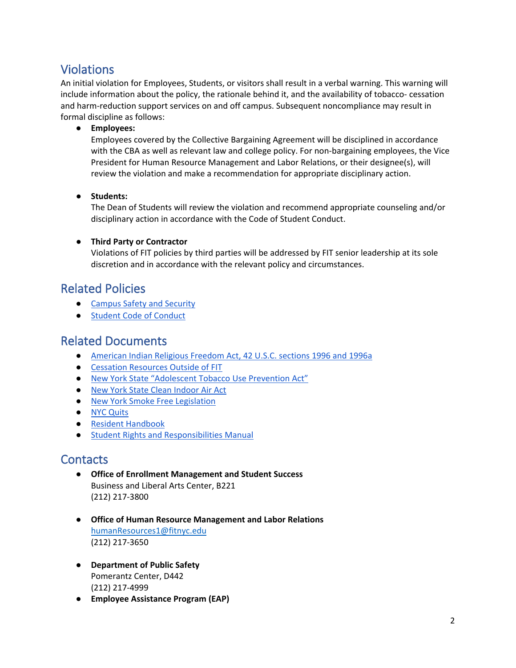# Violations

An initial violation for Employees, Students, or visitors shall result in a verbal warning. This warning will include information about the policy, the rationale behind it, and the availability of tobacco- cessation and harm-reduction support services on and off campus. Subsequent noncompliance may result in formal discipline as follows:

● **Employees:**

Employees covered by the Collective Bargaining Agreement will be disciplined in accordance with the CBA as well as relevant law and college policy. For non-bargaining employees, the Vice President for Human Resource Management and Labor Relations, or their designee(s), will review the violation and make a recommendation for appropriate disciplinary action.

● **Students:**

The Dean of Students will review the violation and recommend appropriate counseling and/or disciplinary action in accordance with the Code of Student Conduct.

### ● **Third Party or Contractor**

Violations of FIT policies by third parties will be addressed by FIT senior leadership at its sole discretion and in accordance with the relevant policy and circumstances.

### Related Policies

- [Campus Safety and Security](https://www.fitnyc.edu/about/policies/safety-security/campus-safety-and-security.php)
- [Student Code of Conduct](https://www.fitnyc.edu/about/policies/enrollment-management/code-of-conduct.php)

### Related Documents

- American Indian [Religious Freedom Act, 42 U.S.C. sections 1996 and 1996a](https://uscode.house.gov/view.xhtml?req=(title:42%20section:1996%20edition:prelim))
- [Cessation Resources Outside of FIT](https://www.fitnyc.edu/life-at-fit/health-and-wellness/health-services/services/index.php)
- [New York State "Adolescent Tobacco Use Prevention Act"](https://www.health.ny.gov/prevention/tobacco_control/current_policies.htm)
- [New York State Clean Indoor Air Act](https://www.health.ny.gov/prevention/tobacco_control/clean_indoor_air_act/)
- [New York Smoke Free Legislation](https://www.health.ny.gov/prevention/tobacco_control/current_policies.htm#:%7E:text=Enacted%20in%201989%20and%20last,certain%20outdoor%20public%20and%20workplaces.)
- [NYC Quits](https://www1.nyc.gov/site/doh/health/health-topics/smoking-nyc-quits.page)
- [Resident Handbook](https://www.fitnyc.edu/documents/resident-handbook.pdf)
- [Student Rights and Responsibilities Manual](https://www.fitnyc.edu/life-at-fit/rights-and-responsibilities/index.php)

### **Contacts**

- **Office of Enrollment Management and Student Success** Business and Liberal Arts Center, B221 (212) 217-3800
- **Office of Human Resource Management and Labor Relations** [humanResources1@fitnyc.edu](mailto:humanResources1@fitnyc.edu) (212) 217-3650
- **Department of Public Safety** Pomerantz Center, D442 (212) 217-4999
- **Employee Assistance Program (EAP)**